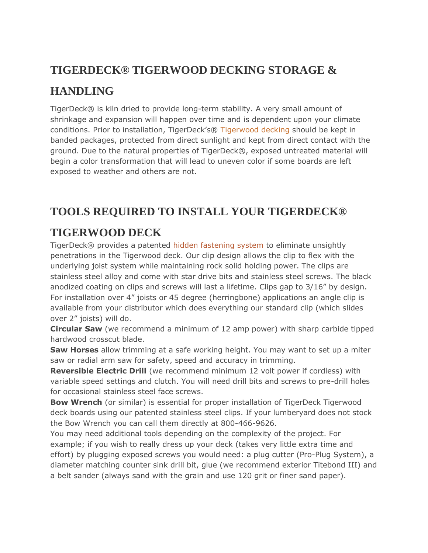## **TIGERDECK® TIGERWOOD DECKING STORAGE &**

## **HANDLING**

TigerDeck® is kiln dried to provide long-term stability. A very small amount of shrinkage and expansion will happen over time and is dependent upon your climate conditions. Prior to installation, TigerDeck's® [Tigerwood decking](http://tigerdeck.com/tigerwood-decking/) should be kept in banded packages, protected from direct sunlight and kept from direct contact with the ground. Due to the natural properties of TigerDeck®, exposed untreated material will begin a color transformation that will lead to uneven color if some boards are left exposed to weather and others are not.

## **TOOLS REQUIRED TO INSTALL YOUR TIGERDECK®**

## **TIGERWOOD DECK**

TigerDeck® provides a patented [hidden fastening system](http://tigerdeck.com/products/hidden-deck-fasteners/) to eliminate unsightly penetrations in the Tigerwood deck. Our clip design allows the clip to flex with the underlying joist system while maintaining rock solid holding power. The clips are stainless steel alloy and come with star drive bits and stainless steel screws. The black anodized coating on clips and screws will last a lifetime. Clips gap to 3/16" by design. For installation over 4" joists or 45 degree (herringbone) applications an angle clip is available from your distributor which does everything our standard clip (which slides over 2" joists) will do.

**Circular Saw** (we recommend a minimum of 12 amp power) with sharp carbide tipped hardwood crosscut blade.

**Saw Horses** allow trimming at a safe working height. You may want to set up a miter saw or radial arm saw for safety, speed and accuracy in trimming.

**Reversible Electric Drill** (we recommend minimum 12 volt power if cordless) with variable speed settings and clutch. You will need drill bits and screws to pre-drill holes for occasional stainless steel face screws.

**Bow Wrench** (or similar) is essential for proper installation of TigerDeck Tigerwood deck boards using our patented stainless steel clips. If your lumberyard does not stock the Bow Wrench you can call them directly at 800-466-9626.

You may need additional tools depending on the complexity of the project. For example; if you wish to really dress up your deck (takes very little extra time and effort) by plugging exposed screws you would need: a plug cutter (Pro-Plug System), a diameter matching counter sink drill bit, glue (we recommend exterior Titebond III) and a belt sander (always sand with the grain and use 120 grit or finer sand paper).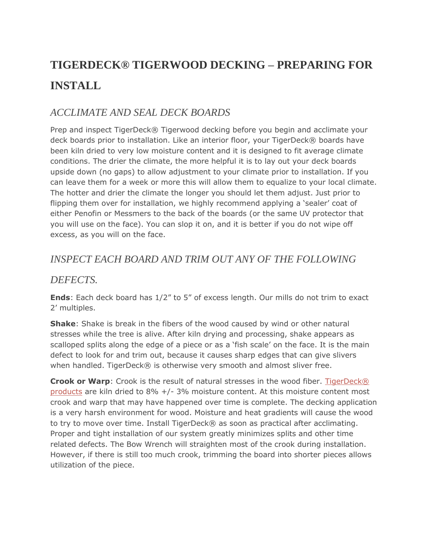# **TIGERDECK® TIGERWOOD DECKING – PREPARING FOR INSTALL**

#### *ACCLIMATE AND SEAL DECK BOARDS*

Prep and inspect TigerDeck® Tigerwood decking before you begin and acclimate your deck boards prior to installation. Like an interior floor, your TigerDeck® boards have been kiln dried to very low moisture content and it is designed to fit average climate conditions. The drier the climate, the more helpful it is to lay out your deck boards upside down (no gaps) to allow adjustment to your climate prior to installation. If you can leave them for a week or more this will allow them to equalize to your local climate. The hotter and drier the climate the longer you should let them adjust. Just prior to flipping them over for installation, we highly recommend applying a 'sealer' coat of either Penofin or Messmers to the back of the boards (or the same UV protector that you will use on the face). You can slop it on, and it is better if you do not wipe off excess, as you will on the face.

#### *INSPECT EACH BOARD AND TRIM OUT ANY OF THE FOLLOWING*

#### *DEFECTS.*

**Ends**: Each deck board has 1/2" to 5" of excess length. Our mills do not trim to exact 2' multiples.

**Shake**: Shake is break in the fibers of the wood caused by wind or other natural stresses while the tree is alive. After kiln drying and processing, shake appears as scalloped splits along the edge of a piece or as a 'fish scale' on the face. It is the main defect to look for and trim out, because it causes sharp edges that can give slivers when handled. TigerDeck® is otherwise very smooth and almost sliver free.

**Crook or Warp**: Crook is the result of natural stresses in the wood fiber. TigerDeck® [products](http://tigerdeck.com/products/) are kiln dried to 8% +/- 3% moisture content. At this moisture content most crook and warp that may have happened over time is complete. The decking application is a very harsh environment for wood. Moisture and heat gradients will cause the wood to try to move over time. Install TigerDeck® as soon as practical after acclimating. Proper and tight installation of our system greatly minimizes splits and other time related defects. The Bow Wrench will straighten most of the crook during installation. However, if there is still too much crook, trimming the board into shorter pieces allows utilization of the piece.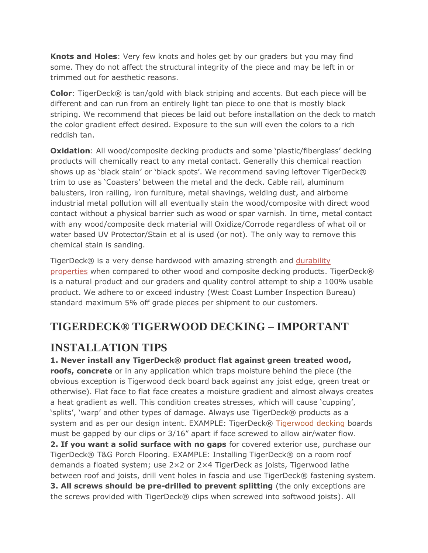**Knots and Holes**: Very few knots and holes get by our graders but you may find some. They do not affect the structural integrity of the piece and may be left in or trimmed out for aesthetic reasons.

**Color**: TigerDeck® is tan/gold with black striping and accents. But each piece will be different and can run from an entirely light tan piece to one that is mostly black striping. We recommend that pieces be laid out before installation on the deck to match the color gradient effect desired. Exposure to the sun will even the colors to a rich reddish tan.

**Oxidation**: All wood/composite decking products and some 'plastic/fiberglass' decking products will chemically react to any metal contact. Generally this chemical reaction shows up as 'black stain' or 'black spots'. We recommend saving leftover TigerDeck® trim to use as 'Coasters' between the metal and the deck. Cable rail, aluminum balusters, iron railing, iron furniture, metal shavings, welding dust, and airborne industrial metal pollution will all eventually stain the wood/composite with direct wood contact without a physical barrier such as wood or spar varnish. In time, metal contact with any wood/composite deck material will Oxidize/Corrode regardless of what oil or water based UV Protector/Stain et al is used (or not). The only way to remove this chemical stain is sanding.

TigerDeck® is a very dense hardwood with amazing strength and durability [properties](http://tigerdeck.com/physical-properties/) when compared to other wood and composite decking products. TigerDeck® is a natural product and our graders and quality control attempt to ship a 100% usable product. We adhere to or exceed industry (West Coast Lumber Inspection Bureau) standard maximum 5% off grade pieces per shipment to our customers.

## **TIGERDECK® TIGERWOOD DECKING – IMPORTANT**

### **INSTALLATION TIPS**

#### **1. Never install any TigerDeck® product flat against green treated wood,**

**roofs, concrete** or in any application which traps moisture behind the piece (the obvious exception is Tigerwood deck board back against any joist edge, green treat or otherwise). Flat face to flat face creates a moisture gradient and almost always creates a heat gradient as well. This condition creates stresses, which will cause 'cupping', 'splits', 'warp' and other types of damage. Always use TigerDeck® products as a system and as per our design intent. EXAMPLE: TigerDeck® [Tigerwood decking](http://tigerdeck.com/products/tigerwood-decking/) boards must be gapped by our clips or 3/16" apart if face screwed to allow air/water flow. **2. If you want a solid surface with no gaps** for covered exterior use, purchase our TigerDeck® T&G Porch Flooring. EXAMPLE: Installing TigerDeck® on a room roof demands a floated system; use 2×2 or 2×4 TigerDeck as joists, Tigerwood lathe between roof and joists, drill vent holes in fascia and use TigerDeck® fastening system. **3. All screws should be pre-drilled to prevent splitting** (the only exceptions are the screws provided with TigerDeck® clips when screwed into softwood joists). All